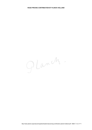Glanch.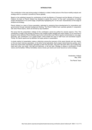### **INTRODUCTION**

This contribution to the road pricing project in Holland is a dated, limited picture of the future mobility analysis and strategy which is currently in process by Planck globally.

Based on the published request for contributions of both the Ministry of Transport and the Ministry of Finance of Holland, the team of Planck Holland has decided to submit the current "on the road" conclusions of mobility project development in its current stage, empathically highlighting the "on the road" characteristics of this stage of analysis and strategy.

Planck Holland is a team of future specialists, dedicated to analysing future developments for corporations and governments through extended background thinking. The Planck Holland team operates globally in cooperation with other Planck teams, which are formed by Gijs Graafland.

We know that the presentation method of this contribution cannot be perfect for several reasons. First: This contribution is made in the process of Planck's own mobility project strategy and vision project: it's no more than a blueprint of the definitive Planck Mobility report which will be (like most Planck reports) concentrated on one page. Secondly: This contribution is an unpaid project, which limited the input of staff hours and secretarial support. Thirdly: All Planck reports are by definition not super perfect in presentation.

A simple method of presentation makes a distinction among the receivers of this report directly and very clearly: on the one hand visionary specialists, on the other formal specialists. Each project needs these two parties, and it saves lots of time when everybody's speciality is clear from the start. They don't like each other, but in reality they need each other very badly. Like light and darkness, or left and right. Strategy is always a combination of both visions and formalities. Without formalities visions remain just visions and never become an active strategy.

Glanch

Amsterdam, Holland May, 2002

The Planck Team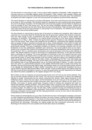#### **THE THREE ESSENTIAL DEMANDS ON ROAD PRICING**

The first demand on road pricing is clear: It has to reduce traffic congestion substantially. Traffic congestion has long been seen as an unsolvable negative product of prosperity. Times, however, have changed: civilians and companies become more and more demanding towards their governments in solving this issue. The combination of prosperity and traffic congestion is more and more perceived and explained as governmental malpractice.

The second demand on road pricing is just about chilly figures. From each road pricing euro the net result must be as close to 100% as possible. This important demand is threatened as soon as governments leave solutions too much to the design of suppliers. On the totally other end road pricing suppliers are also fixated on obtaining as much as possible of each road pricing euro. This are two strong completely opposite powers. Civilians and companies are becoming more and more critical about any type of tax spending. A high net result (total incomes minus total costs) will be the second demand on road pricing in line of importance. For inefficient use of national money there is less and less political space.

The third demand on road pricing is secure ness of the privacy of civilians and companies. Both civilians and companies are not amused about the threatening idea that the government registers their physical movements. Only one major change of type of government and these instruments can be used to control people and companies. An illustration: The headline (!) on a special election front page (!) of the Dutch national newspaper De Volkskrant (!) of May 1, 2002: "Civilians find governments ignorant. Prosperous voter withdraws and takes care of his own issues." Both civilians and companies are not waiting for a government that registers something basic as people's private or corporate movements and so takes, at least potentially, more control of civilian and corporate functions. Registration of such essential data as movements of civilians and companies is outside any governmental mandate. This type of registration threatens civil freedom and corporate competitor ship, the two fundaments of any free parliamentary capitalistic open democracy. The current political trend can be characterized by the conclusion that civilians and companies have an increasing dissatisfaction with the functionality of the government. This is a sensitive issue: Governments rule more by the grace of trust than by the chilliness of power. This delicate balance is crucial for the function of a parliamentary democracy. In the USA this important facet is historically out of balance. The current generation of Americans is born out of parents that have come from other countries to get freedom these countries were not giving. Americans have an inborn suspicion against governmental control. A recent tragic example of this fire burning under the surface is the Oklahoma bombing, which was directly linked by the culprit to the Wako incident, overpowered by the FBI. In the USA people say regarding the Oklahoma bombing: "We have met the enemy and he is us." Good governments rule on the small (but essential) base of trust. Bad governments rule on the (also) small base of violence. To make a long story short and come to a governmental conclusion in this context: Governments need to handle road pricing very delicately. Road pricing involves basic liberty issues, and therefore needs a lot of thinking before acting, because it can damage the fundamentals of today's society. Corporations will not accept that competitors can buy a corrupt official to get their client location data or client visit data. Today any debt collector has relations within the IRS and can get all fiscal information of anyone. It's clear that governments (and their departments and officials) see neither the positive possibilities nor the negative dangers of ICT very clearly.

Both civilians as well as companies are perceiving governments more and more as just service institutes. They pay tax and they demand services for their money. This new look on government is a result of the intellectual maturing of society. Governments that are serious concerning their function, better adjust themselves to this intellectual maturity. Those that don't adjust, will find themselves more and more out of the centre position in society. The same influences that brought communism down (party policy and officials are the centre of any thinking), now knocks on western governments. Excessive control of civilians and companies will result in a natural born freedom creating movement. Total control doesn't have a long life in the history of the world. The concept of total control is opposite to the very nature of people. To this delicate balance road pricing can become a burdening weight. The stakes are high. On both sides: Traffic congestion solving and maintaining the base of trust in of civilians and companies in their government. Road pricing is a very delicate issue. Let it be solved by technology worshippers and the people will start hating governments. And we not even want to think about the consequences of such a development.

Planck people are technologically very up to date. We think that we have in technological knowledge a head start on many companies and government officials and bodies. We avoid, however, isolating technological knowledge from the societies it will be implanted in. The results of a blind worship of technology include nuclear rockets and biological dangers like anthrax. People (and the companies they work for or invest in) must be the central issue in governments and technology. Technology can support people and their environment enormously. Let's use technology to the maximum for such purposes and be alert about abuse of possibilities.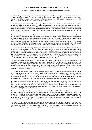# **BEST TECHNICAL CENTRAL LOGGING ROAD PRICING SOLUTION**

# **PASSIVE LOW WATT GSM BASED SOLUTION OPERATED BY TELCO'S**

This technology is completely based on a very inexpensive (less than E 25 production costs) in-car mutated stripped GSM device, which is capable of sending the standard alive data packages, embedded in the GSM protocol, in a higher frequency than a normal GSM cellular phone, and which has a lower amplifier power, which gives a lower reach of the device of several hundred meters.

There are many reasons to chose this technology: The main reason is of course the absence of the need to build a new national extra-car network. Because the telco's already have operating nationwide networks, nothing has to be build. Therefore the implementation of this solution doesn't bring about any extra traffic congestion nor a giant extra-car network cost. The telco's are open for any new source of income (and this is an understatement; they need it badly). The telco's have proven to be reliable business partners, serving daily millions of private and corporate customers.

The telco's only need some new software to analyse the standard gsm alive data packages in relation with road pricing routes in combination with the specific route road pricing tariffs. There is no other extra-car hardware necessary, maybe the telco's need more ground station density on the highways, which can be realized on the sides of the road information infrastructure. The intra-car solution is a simple battery less, car battery powered gsm phone with a lower amplifier than the regular cellular phone and maybe a higher frequent location data package transfer. The best amplifier power range must first be tested and than propagated. The GSM network logs the car movements and the telco back office analysing and invoicing software takes care of the rest.

This solution is the best functionally, the simplest to implementate, the easiest to operate, the lowest in costs, the highest in income, of all technically central logging based solutions. There is no better technological central logging system than the one described above, al others will require an new extra car national infrastructure, with all connected investment, realizing and operational issues. Above described system gives on all counts the best score by central logging. Police officers may test cars outside (not inside!!) on signals and can issue tickets with high fines if the device is absent. People can test the in-car equipment through their own phone shop. People can login to the telco's online accounting system to see their road pricing data.

The extra possibilities of this in/out car system are of mixed character, both good as well as frightening: Car registration, car theft solving, car locating (super scary), traffic stream information and even speed control and ticketing. These additional possibilities for use and the chances at both governmental private and corporate abuse, should bring up doubts. A government that knows were civilians are on a specific moment is scary. Abuse can be reduced, but it's a dream of blind ICT amateurs to think that there will be no governmental / private / corporate abuse of these data.

The solution described above, is the best technological central logging solution (less investments, high net output, quick implementation, no traffic congestion caused during installation, etc.), but like many mere technological solutions it is absolutely against everything the western world has fought for over the last 500 years. Realisation of this kind of technology will only be done by governments that are blind for both the positive and the negative possibilities of ICT in general. There are much better ICT related traffic congestion preventing solutions.

In Holland we have seen that the political structures can be changed gigantically within less than one year. Maybe this motivates to prevent current governments to install this kind of technology. Who today holds the buttons is clear. Who hold the buttons tomorrow is never clear. This technology has a too high impact on basic rights in a free society. Let's prove to ourselves that we can maintain a free society for longer than 60 years before we start to think of installing this kind of technology.

One of the reasons the loss of Jewish lives in Holland during the Second World War was higher than in any other non-German European country was the perfect condition of the civilian registration in Holland and the fact that government officials loved the administration too much to destroy it before it turned from a source of societal order to a source of societal destruction. Let our democracy first develop further before we consider this technology threatening our freedom of movement. For the sake of every recently repressed group in society (from gay people to Islamic people and everything between this two groups).

The look of the wealthy civilians and companies on government is changed dramatically the last year. Government is no longer taken as a granted institution. Government has become an important supplier for several important products with very critically focused customers. The human society has entered its mature state of development. Road pricing by movement logging doesn't fit quite right in this picture.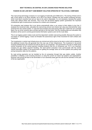# **BEST TECHNICAL DE-CENTRAL IN-CAR LOGGING ROAD PRICING SOLUTION**

# **PASSIVE IN-CAR LOW WATT GSM MEMORY SOLUTION OPERATED BY TELCO'S/OIL COMPANIES**

This road pricing technology is based on in-car logging of externally sent GSM echo's. The storing of these echo's with a time stamp is not done centrally, but in the in-car device. Whether the new location analysing services, which most telco's recently have set up, have to be used is disputable. It is not necessary, because the system works also without these new services. This in-car and de-central logging system guarantees the important constitutional right of autonomous movement for civilians and companies.

Oil companies read wireless this in-car device automatically when a car comes to their station to buy fuel. It analyses the movement data, calculates the road pricing amount and checks last value plus kilometre/fuel value received from the central system. In case the fuel purchase and road pricing miles don't match the car's average figure, the car driver receives also a printed warning on the fuel ticket. Only the resulting data and calculation key deviations will be send to central governmental information systems (and not the route data).

This in-car logging system makes route and time dependent variable road pricing possible. Because the system is not based on central logging, it does not threaten the autonomous right of free movement for both civilians and companies.

The investments in central road infrastructure are minimal and will be done by the telco's which will be pleased by the additional income they will generate from this new use of their infrastructure. The investment in de-central invoicing infrastructure are minimal and will be done by oil companies. The government only has to install some central computers at the central payment handling locations that the oil companies use. CVV is an important company for gas station payment handling. The semi-central computers must communicate with the central vehicle information system of the government for getting the average value out of this systems and putting road pricing transaction data into this systems.

So road pricing payments can be handled by the oil companies through their gas station outlets. Another possibility is initiating a new invoicing structure, or using the current car owner tax systems and organisations, of the tax organisation.

because road pricing will lead to the termination of car ownership taxes and this will end the activities of this part<br>of the tax organisation.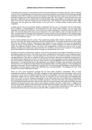### **LIMITED ROAD CAPACITY EXTENTION BY INVESTMENTS**

In the light of the coming ICT wave extension of the overall road capacity is investing in the past. Just as investing in water roads in the beginning of the last century was a bad investment at a moment that the world was already changing to road traffic, investing in overall road capacity in the beginning of this century is a bad investment. The times are changing much more quickly than one hundred years ago. The coming ICT wave will have as a result that within 5 years from now (so before 2007) it will be possible to get speed tickets on the highways to the major cities of the world in both the morning and the evening rush. This coming ICT wave will reduce office traffic enormously and will reduce the traffic streams in the rush hours to normally flowing streams without traffic congestion.

A capital with the size and economical weight of Amsterdam that has only 3 connections with the northwestern part of Holland is underdeveloped in its infrastructure for the current traffic situation, and the daily traffic congestion is the daily proof of this fact. There is also much traffic congestion on secondary roads to middle sized cities. The fact that these traffic jams are not mentioned in the news bulletins, does not imply that they're not there. No government in the past could calculate the current number of car movements or the locations where they would take place. On the other end: Almere has been extended substantially without any governmental traffic policy to the Amsterdam region.

So the current problems has two causes: First, explosively growing traffic streams. Secondly, a government structure and policy that always walks ways behind the developments. Concerning infrastructural issues maybe that's the best attitude, because infrastructural policy failures are very expensive and cost next generations money for wrong, unused products. The Betuwe Rail Road is a perfect example of a waste of infrastructural capital: the waterway container solution has much more geographical coverage than one rail road, is much cheaper and takes only a few hours more transit time for a container. And much more important: it is completely setup and operated by market parties without a single euro governmental risk or cost.

Investing in tomorrow's infrastructure, however, must not be done based on the reality of yesterday, but only on the predicted reality of tomorrow. The reality of tomorrow is absolutely not drawing the curve of yesterday further. The old stat(ist)ic future model is only calculating from the past and is not reckoning today's and tomorrow's changing influences. Only after an analysis of today's and tomorrow's influences an adequate investing plan in new infrastructural capacity can be done. The fact that this isn't done, is a signal of today's governmental short term focus leading to blindness for the future. New research must be initiated as soon as possible and must be performed by a combined team of the old statisticians and knowers of today's and tomorrows technological developments. This combines the best of both the past and the future under the guidance of the knowledge and experience of the past. The best example of "how not to do" is the housing project the Bijlmer in Amsterdam from the middle of the last century. It was a fact that there was a housing problem. The forgotten fact was: What direction the housing market was moving to.

There are some small investments possible that will solve traffic congestion substantially. Most of these treatments are similar to cardiology. The traffic throughput of both highways and some secondary roads can be increased by some small, but essential highway shortcuts and bypasses. This must have priority, because the investments needed are low, and the effects are high. An example: The low priced traffic circle bypasses (like near Joure, which is only too cheaply implemented, so the road speed has to be brought back unnecessarily, which paradoxally will lead to many easy avoidable accidents). The short extra high way driveways (like at the A27 Almere/Utrecht before Hilversum, where some miles of one extra driveway have solved some daily returning problems). Everywhere where some miles of extra highway driveway will solve a bottle neck in a highway this must be done quickly. Where small investments with high results are possible, they need to be done. These are not new roads, but optimalizing of the current road net. Of course these investments this time need to be implemented without the many unnecessary roadwork traffic congestions that are now regular.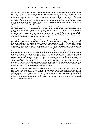### **LIMITED ROAD CAPACITY EXTENTION BY LEGISTATION**

Another way to reduce traffic congestion is by improving or adjusting the current legislation. Traffic congestion can still be much reduced by better traffic management and adequate congestion prevention. In cases where there are no external parties involved and the governments (or her contractors) are the only parties, legislation is maybe too heavy a word. Definition of optimal handling / response scripts is then a better wording. The purpose is to ensure that problem solutions are based both on the practical situation of locations and the best theoretical possibilities. Now many situations are managed by incident management, which results in unnecessary slow restoring of the road throughput. In case there are other parties involved (like in ship legislation), the only way to adiust current situation handling is by legislation.

Traffic accidents cause each day a lot of traffic congestion. A flexible legislation, resulting in action scripts to deal with accidents more quickly, as well as measures preventing them, is needed. In the USA lots of traffic congestion in the rush hours is caused by broken cars on the highways. In Holland this problem is almost absent thanks to the APK legislation. In the USA this problem is treated in a very American way by a tax reduction on buying a new(er) car. Back to Holland: A lot of traffic congestion is caused by traffic accidents. Traffic accidents aren't preventable, they just happen and they happen more during the hours when the traffic increases. A quick accident removal response method will solve traffic congestion substantially.

Lost freight from trucks causes each day a lot of traffic congestion. A flexible legislation or action script on solving and preventing these incidents, should lead to a better and quicker response on lost freight on the roads, which damage the road throughput. A quick lost freight removal response method will solve traffic congestion substantially. But there is also a typical legislation solution. Legislation that holds truck owners and/or truck companies responsible for the damage caused by the lost freight of their trucks. They would cover this by insurance, but claims will reduce their no-claim bonuses and therefore it will certainly have effect on better truck loading practice.

Road maintenance and road extensions are also a major source of traffic congestion. The good part of this type of traffic congestions is that they are by nature temporary, and that the roads afterwards have a higher throughput than before. But there is a lot of unnecessary traffic congestion caused by road works. Here also more throughput optimalization knowledge is needed than the common road building or road maintaining company has shown to the road customer the last years. Road work contracts must have traffic throughput clauses. Governments and road work companies must initiate together a task force that is specialized in maximum throughput knowledge. Companies like Saan maybe can develop to specialize in this area. The current road work management, focused on the work mainly and not on continued traffic throughput during the works, can easily be replaced by good road works purchase management and purchase contracts. Traffic congestion by road works doesn't cry out for adjusted legislation, it simple needs better governmental management.

Some change in shipping priority rules will also prevent some daily traffic congestion. This traffic congestion solving and preventing issue can be easily attained by adjusting the ship priority legislation on some items. There are just some new ship rules needed. Thousands of cars waiting for one recreational ship that passes a highway bridge is a situation we can not sell anymore in the current time-is-money society. The traffic congestion on the A1 (Amsterdam / Amersfoort) near Muiden is a perfect example of a few pleasure yachts causing irritation among a very large numbers of car drivers. Freight ships, however, prevent a lot of road traffic and must hold their priority position in the bridge legislations.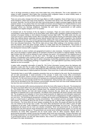Like in all things preventing is always many times better than curing afterwards. This is also applicable to the subject of traffic congestion. Much better than controlling traffic congestion based on actual mobility needs, is preventing congestion by active mobility needs changing policies.

There are some policy changes that will have huge effects on traffic congestion. Some of these have no or less social resistance, others have huge social resistance. The bottom lines will be: First: Will traffic congestion really be solved. Secondly: Can this be done with other road pricing based on digital movement logging, also the worst practical solution. In our opinion there are much better pro-human and pro-freedom ICT based solutions to solve traffic congestion than Big-Brother-like governmental movement registration. The fact that such a major issue is discussed without any warnings whatsoever, illustrates the poor vision of governments on both positive possibilities and negative dangers of ICT for societies.

A renewed look on the functions of the city regions is necessary. There are some central serving functions concentrated in some places which can be done better (read: without traffic congestion problems) elsewhere. An example is European holiday or short distance European business flight traffic. This traffic exists now the year round and not just in quiet holiday months. More such flights using regional airports can fulfil these mobility needs better than national airports, especially because national airports also have air traffic congestions, thus doubling travel stress and travel time. This concerns governments, dealing with major public functions like airline licences, but it also applies to all companies as regards both production plants as well as office farms. Some accountancy firms have relocated themselves. They left the cities and put major office buildings in the dormitory suburbs. A town like Almere, which has space enough, profits on a large scale from this development. This process of moving functions and companies to attractive suburbs has just started and has a long way to go. Each move in this development reduces traffic congestion.

A total new look on phone numbers and geographical locations is also necessary. Companies move to Amsterdam, just to be located in a global capital (or for example to Arnhem to be located in a regional capital). The three digit numbers (like 020) must be released for each company that wants it. All companies in the neighbourhood of major cities must be allowed to use the city's name. The legal use of Amsterdam-Almere (instead of plain Almere), or Amsterdam-Laren (instead of plain Laren), or Amsterdam-Schiphol (instead of plain Schiphol) will give decentral locations the trigger they need to attract companies of which the employees want to do better things with their time than unnecessarily partaking in congested traffic. This super effective secondary naming must be legalized as soon as possible.

A better traffic congestion information is called for. The current information screens above the highways with alternative routes work fine for users of that highways. But graphical presented traffic congestion will prevent people to drive to these roads. Current voice based low effect information will be replaced by website, i-mode and cruise control based easy to interpret graphical information. Extra travel time of roads will be displayed exactly.

Theoretically there is some traffic congestion prevention that can be realized by flex work. But this development will not start automatically. It needs promotion of the concept. It needs more human office environments. Companies that export, import or service companies in other time zones can realize a head start on competitors by flex work. For flex work some tax discount is necessary as a starting stimulating factor. Holland as international business country can economically benefit from this development. Doing business with companies in other time zones will be stimulated by this. But business communication becomes more and more email mediated and this has less time zone connections than phone communication.

But the most important traffic reducing development will be the home office based on flex work. This development will reduce city based office hours per employee enormously. The hardware (pc and gsm) is already years among us. The infrastructure (cable and asdl) is already there, the software environment (Novell Directory Services, Microsoft Active Directory and total web based company structures like asp, dotnet, php, js and many other standards) is implanted now in most companies. The effects of the combination will result in growth of the missing link: The acceptance and realisation of more home based production for digital and communication based jobs. This will result in a decrease of traffic in the rush hours, which will result in disappearance of traffic congestions in the rush hours. This technological development correlates with several social developments. People turning their backs on small houses in gardenless housing concentrations. The combined part time parentship / careers of both parents. The frustration about the loss of time in travelling (with or without traffic congestion) in busy daily time scheme's. The home office will never replace completely the city office. But people will attend the city office only one instead of the full five days a week. This home office development will solve within 5 years all traffic congestions on all roads. Traffic congestion is caused by that small percentage "too much cars". The home office development will reduce this too much cars situation completely. What must governments do to stimulate this development? We think that the actual development does not need any governmental support. It's just the way information technology will take us. The government can provide some conditional incentives. Clear tax rules (or reductions) for home office equipment and for house space used for office purposes. Maybe there is governmental stimulation needed concerning information about home work technology. Concept information and technology awareness can be broadcasted for a short time. Plus a supplier independent database structure with no governmental opinion, but with user rated solutions. Also a reform on countryside or agricultural land policies will support this major development.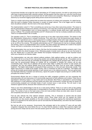### **THE BEST PRACTICAL NO LOGGING ROAD PRICING SOLUTION**

If government decides not to take the road of stimulating an ICT based economy, but stick to road pricing as the main facet of governmental traffic reduction policies, the big question that then pops up is, why this must be done by a method with high social and economical risks for both civilians and companies. Reducing or damaging their autonomy by movement logging equals taking severe social and economical risks.

There is a simple road pricing method that not enters the autonomy of civilians and companies. It's called fuel tax. After this word is dropped, further discussion is usually no longer rational. This is the trigger word for shutting down all political cohesion. But let's look on this issue rationally.

The implementation costs E 0. That is something we cannot say of any other road pricing solution. The reason is that the administrative infrastructure already is functioning. From each litre of fuel the government gets already its share. This E 0 implementation cost is a strong argument in a political climate where each major spending of money is difficult. The complete administrative and ICT infrastructure for fuel tax is already available and working. There is no implementation risk or trouble.

The operation costs E 0. That is something we cannot say of any other road pricing solution. The reason is that the administrative infrastructure is already functioning. From each litre of fuel the government gets already its share. This E 0 operational cost is a strong argument in a political situation where each major spending of money is difficult. Any other road pricing system will not result in a 100% usable fee. Costs of other solutions can go up as far as 50% of the revenue. The complete administrative and ICT infrastructure for fuel tax is already available and working. There is no implementation risk or trouble. Any other solution will relatively be a waste of tax payers money, and that's a construction no tax payer and no government is waiting for.

The implementation time can be short in theory. But then the first practical implementation problems start. It has to be done within the whole European Union. Otherwise people in border area's will go by car over the border to buy fuel. Maybe this is a good test case whether the European Parliament is able to handle important issues which are a benefit for all member states.

The implementation can also give national political problems. Both political parties, as well as civilians and companies will not cry of joy for any road pricing solution and certainly not through fuel tax. This problem can be solved. If at the same time the car ownership tax disappears the criticism will be severely lower. When from the same day the governmental earning on mobility will be re-invested in mobility the criticism will be also considerably lower. When the air pollution will be lower it also helps in selling this solution to both people and companies. But first the political parties have to be convinced that there must be some traffic congestion treatment. That digital road pricing is an assault on basic autonomy in a free and open democratic society. That digital road pricing is a waste of tax payers' money, both in investment as well as in operation. That digital road pricing will increase governmental spending of each earned euro in the national economy. That any government true-heartedly believing in freedom and democracy, rejects the system of digital road pricing as in conflict with the principles the society is built on.

Governmental officials that are in charge of solving the traffic congestion problems can hire companies like www.best-policy.info and www.press.nl to communicate arguments to both politicians and civilians. Press Sure is specialized in attracting media in a way media want to be attracted. Best Policy is specialized in communicating with politicians in a way politicians and their parties and other main movements in society are open for issues: By communicating analysed and motivated facets of each involved issue in road pricing. This will result in less resistance against fuel tax, because other solutions are so much worse.

There is one minor disadvantage to fuel tax as a road pricing method. There is no route or time of day grading possible. However this one missing facet is compensated by many other positive facets and the effect will be the same: The number of cars on the road is less a time and route problem (these are daily static values for people and companies) and more an overall mobility issue.

Fuel tax also reduces the CO2 national emission severely. This is necessary to prevent that the Dutch government does not realize the Kyoto emission norms. When these norms are not realized the Dutch government can face severe penalties on the extra emissions caused by signing this international agreement, which is so important for the world (and for sure for low lands like the Netherlands), and which has been accepted by most countries.

But fuel tax will not be necessary. Governments that anticipate right to the coming ICT wave will see traffic congestion disappear like snow before the sun. It's clear that this solution is better than expensive digital road pricing and even cheap fuel tax (even if the last solution gives the 100% of the pricing, without almost any costs).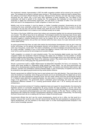### **CONCLUSIONS ON ROAD PRICING**

We mentioned it already: Approximately in 2007 the traffic congestion problem will be solved by the coming ICT wave. The hardware (pc and gsm) is already years among us. The infrastructure (cable and adsl) is already there, the software environment (Novell Directory Services, Microsoft Active Directory and total web based company structures like asp, dotnet, php, js and many other standards) is being implanted now. The effects of the combination will result in growth of the missing link: The acceptance and realisation of more home based production in digital and communication based jobs. This will result in a decrease of traffic in the rush hours, which will result in the disappearance of traffic congestion in these rush hours.

Mobility must not be punished. It must be steered, or (better if possible) prevented. Governments are at risk concerning this issue, potentially cutting their own roots. It is save to state that their licence to govern is directly connected to the way they will solve the mobility issue. Both the proof of their determination to solve it and the proof of their determination not to create an over controlled society are at stake.

The history of the former USSR has proven that civilians and companies together kick too extrovert governments out of power. This difficult issue has to be addressed. Technological solutions that decrease basic human rights and threaten corporate competitor ship environments have to be thought over thoroughly. Road pricing by digital movement logging is creating infrastructure which can be (repeat: can be, we don't say will be) used by total control seeking governments, who put their own interests before the basic values of an open democratic and free market based society.

An active government that does not walk miles behind the technological developments (and we don't mean big brother technology, but the general technological direction) will be granted a solution to the traffic issue in the same way it has grown: Just by itself. This seems contradictory, but active knowledge and passive behaviour can be a good marriage: Travelling a river is much easier that digging a channel. Even more so when the channel never will be used as planned by technological and societal changes.

Traffic congestion is a product of a post industrial society. The now developing digital society may have traffic congestion before the Amsterdam Internet Exchange (the digital hub of Holland), but that problem is already solved by realizing other Exchanges in Groningen, Rotterdam and Enschede and by much other peerings. As with container traffic and the Betuwe Rail Road or the waterways solution: The market solves this kind of problems better, quicker and at a lower price than any government ever can do.

Should a government invest in digital infrastructures for home/work integration? No that is not necessary: The market gives these facilities for comparative prices pointed to market needs. The only thing governments will need to do is developing laws ensuring continuity for digital traffic. Connections and domains need owners' right protection. Domains and connections must be protected legally in case of bankruptcy of suppliers and must also be protected by law against governmental and big market parties influence.

Should a government do nothing? No they have to react actively and in the right direction. They must chose not to solve the problems of yesterday. Active things governments can do are stimulating both the digital look on home work places and other geographical spreading issues. But this needs nothing more than governmental (Postbus 51 in Holland) media spots and a supporting website. Any other action is a waste of money and will damage the image of the government. The government doesn't understand actual technology and never will: This is a fundamental difference between 9 to 5 working governmental officers and 7 till 24 working tech-nerds and entrepreneurs.

What can a government actively do? Creating a legislative basis and support for decentralisation. By reducing the legislation barriers of countryside development. By giving suburbs the legal possibility to use the main cities' name. And there are many more possibilities. More on active policies concerning stimulation of living suburbs can be found on www.planck.us/future/agriculture and other issues analysed on this site. Planck is willing to help departments with creating this concept of developments adjusting to rising instead of descending. The best thing the Dutch Government can do is dealing with the future in stead of solving the past.

Governmental officials that don't see the current developments, should not be in office, but that would be a problem, because their would be only a few left. Governmental officials that want assistance in grasping technological developments, can hire members of the Planck team or of other technological/societal analysers in the area of active knowledge operation.